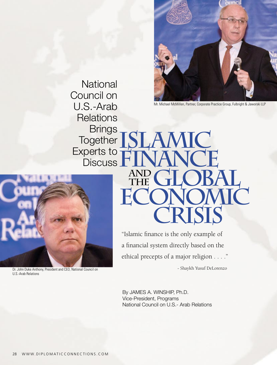

Mr. Michael McMillen, Partner, Corporate Practice Group, Fulbright & Jaworski LLP

**National** Council on U.S.-Arab **Relations Brings** Together S Experts to **Discuss Finance**



Dr. John Duke Anthony, President and CEO, National Council on U.S.-Arab Relations

"Islamic finance is the only example of a financial system directly based on the ethical precepts of a major religion . . . ." - Shaykh Yusuf DeLorenzo

AND GLOBAL

**Economic**

 **Crisis**

**ISC** 

By JAMES A. WINSHIP, Ph.D. Vice-President, Programs National Council on U.S.- Arab Relations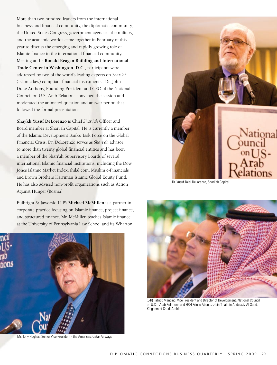More than two hundred leaders from the international business and financial community, the diplomatic community, the United States Congress, government agencies, the military, and the academic worlds came together in February of this year to discuss the emerging and rapidly growing role of Islamic finance in the international financial community. Meeting at the **Ronald Reagan Building and International Trade Center in Washington, D.C.**, participants were addressed by two of the world's leading experts on *Shari'ah* (Islamic law) compliant financial instruments. Dr. John Duke Anthony, Founding President and CEO of the National Council on U.S.-Arab Relations convened the session and moderated the animated question and answer period that followed the formal presentations.

**Shaykh Yusuf DeLorenzo** is Chief *Shari'ah* Officer and Board member at Shari'ah Capital. He is currently a member of the Islamic Development Bank's Task Force on the Global Financial Crisis. Dr. DeLorenzo serves as *Shari'ah* advisor to more than twenty global financial entities and has been a member of the Shari'ah Supervisory Boards of several international Islamic financial institutions, including the Dow Jones Islamic Market Index, ihilal.com, Muslim e-Financials and Brown Brothers Harriman Islamic Global Equity Fund. He has also advised non-profit organizations such as Action Against Hunger (Bosnia).

Fulbright & Jaworski LLP's **Michael McMillen** is a partner in corporate practice focusing on Islamic finance, project finance, and structured finance. Mr. McMillen teaches Islamic finance at the University of Pennsylvania Law School and its Wharton



Mr. Tony Hughes, Senior Vice-President - the Americas, Qatar Airways



Dr. Yusuf Talal DeLorenzo, Shari'ah Capital



(L-R) Patrick Mancino, Vice President and Director of Development, National Council on U.S. - Arab Relations and HRH Prince Abdulaziz bin Talal bin Abdulaziz Al-Saud, Kingdom of Saudi Arabia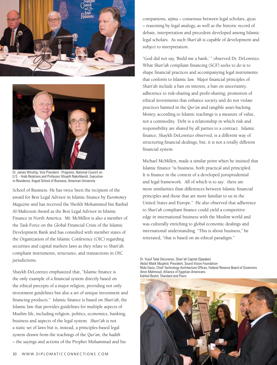



Dr. James Winship, Vice President - Programs, National Council on U.S. - Arab Relations and Professor Ghiyath Nakshbendi, Executivein-Residence, Kogod School of Business, American University

School of Business. He has twice been the recipient of the award for Best Legal Advisor in Islamic finance by *Euromoney Magazine* and has received the Sheikh Mohammed bin Rashid Al-Maktoum Award as the Best Legal Advisor in Islamic Finance in North America. Mr. McMillen is also a member of the Task Force on the Global Financial Crisis of the Islamic Development Bank and has consulted with member states of the Organization of the Islamic Conference (OIC) regarding securities and capital markets laws as they relate to Shari'ah compliant instruments, structures, and transactions in OIC jurisdictions.

Shaykh DeLorenzo emphasized that, "Islamic finance is the only example of a financial system directly based on the ethical precepts of a major religion, providing not only investment guidelines but also a set of unique investment and financing products." Islamic finance is based on *Shari'ah*, the Islamic law that provides guidelines for multiple aspects of Muslim life, including religion, politics, economics, banking, business and aspects of the legal system. *Shari'ah* is not a static set of laws but is, instead, a principles-based legal system drawn from the teachings of the *Qur'an*, the *hadith* – the sayings and actions of the Prophet Muhammad and his

companions, *uijma* – consensus between legal scholars, *qiyas* – reasoning by legal analogy, as well as the historic record of debate, interpretation and precedent developed among Islamic legal scholars. As such *Shari'ah* is capable of development and subject to interpretation.

"God did not say, 'Build me a bank,' " observed Dr. DeLorenzo. What *Shari'ah* compliant financing (SCF) seeks to do is to shape financial practices and accompanying legal instruments that conform to Islamic law. Major financial principles of Shari'ah include a ban on interest, a ban on uncertainty, adherence to risk-sharing and profit-sharing, promotion of ethical investments that enhance society and do not violate practices banned in the *Qur'an* and tangible asset-backing. Money, according to Islamic teachings is a measure of value, not a commodity. Debt is a relationship in which risk and responsibility are shared by all parties to a contract. Islamic finance, Shaykh DeLorenzo observed, is a different way of structuring financial dealings; but, it is not a totally different financial system.

Michael McMillen, made a similar point when he insisted that Islamic finance "is business, both practical and principled. It is finance in the context of a developed jurisprudential and legal framework. All of which is to say: there are more similarities than differences between Islamic financial principles and those that are more familiar to us in the United States and Europe." He also observed that adherence to *Shari'ah* compliant finance could yield a competitive edge in international business with the Muslim world and was culturally enriching to global economic dealings and international understanding. "This is about business," he reiterated, "that is based on an ethical paradigm."

Dr. Yusuf Talal DeLorenzo, Shari'ah Capital (Speaker) Abdul Malik Mujahid, President, Sound Vision Foundation Nida Davis, Chief Technology Architecture Offices, Federal Reserve Board of Governors Amin Mahmoud, Alliance of Egyptian Americans Kahled Beshir, Standard and Poors

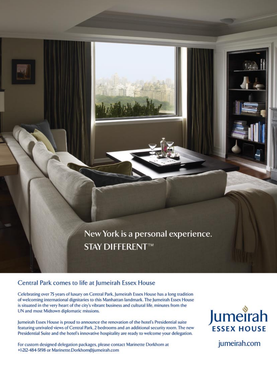New York is a personal experience. **STAY DIFFERENT™** 

## Central Park comes to life at Jumeirah Essex House

Celebrating over 75 years of luxury on Central Park, Jumeirah Essex House has a long tradition of welcoming international dignitaries to this Manhattan landmark. The Jumeirah Essex House is situated in the very heart of the city's vibrant business and cultural life, minutes from the UN and most Midtown diplomatic missions.

Jumeirah Essex House is proud to announce the renovation of the hotel's Presidential suite featuring unrivaled views of Central Park, 2 bedrooms and an additional security room. The new Presidential Suite and the hotel's innovative hospitality are ready to welcome your delegation.

For custom designed delegation packages, please contact Marinette Dorkhom at +1-212-484-5198 or Marinette.Dorkhom@jumeirah.com



jumeirah.com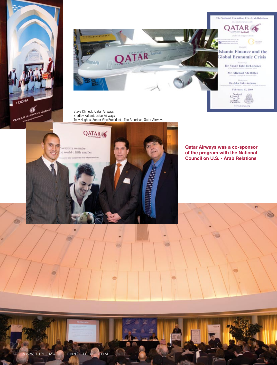



Steve Klimeck, Qatar Airways Bradley Pallant, Qatar Airways Tony Hughes, Senior Vice President - The Americas, Qatar Airways



**Qatar Airways was a co-sponsor of the program with the National Council on U.S. - Arab Relations**